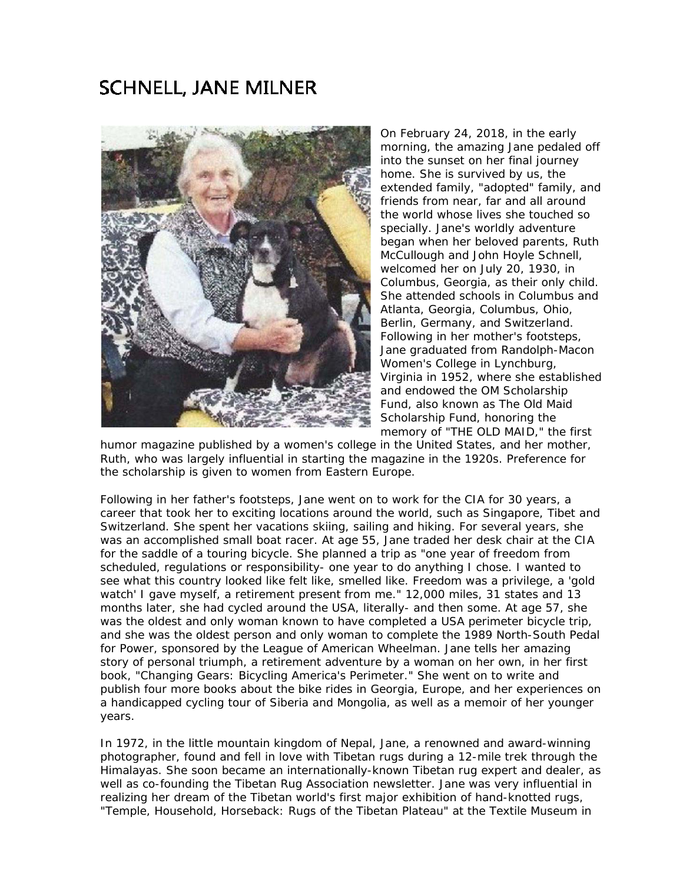## **SCHNELL, JANE MILNER**



On February 24, 2018, in the early morning, the amazing Jane pedaled off into the sunset on her final journey home. She is survived by us, the extended family, "adopted" family, and friends from near, far and all around the world whose lives she touched so specially. Jane's worldly adventure began when her beloved parents, Ruth McCullough and John Hoyle Schnell, welcomed her on July 20, 1930, in Columbus, Georgia, as their only child. She attended schools in Columbus and Atlanta, Georgia, Columbus, Ohio, Berlin, Germany, and Switzerland. Following in her mother's footsteps, Jane graduated from Randolph-Macon Women's College in Lynchburg, Virginia in 1952, where she established and endowed the OM Scholarship Fund, also known as The Old Maid Scholarship Fund, honoring the memory of "THE OLD MAID," the first

humor magazine published by a women's college in the United States, and her mother, Ruth, who was largely influential in starting the magazine in the 1920s. Preference for the scholarship is given to women from Eastern Europe.

Following in her father's footsteps, Jane went on to work for the CIA for 30 years, a career that took her to exciting locations around the world, such as Singapore, Tibet and Switzerland. She spent her vacations skiing, sailing and hiking. For several years, she was an accomplished small boat racer. At age 55, Jane traded her desk chair at the CIA for the saddle of a touring bicycle. She planned a trip as "one year of freedom from scheduled, regulations or responsibility- one year to do anything I chose. I wanted to see what this country looked like felt like, smelled like. Freedom was a privilege, a 'gold watch' I gave myself, a retirement present from me." 12,000 miles, 31 states and 13 months later, she had cycled around the USA, literally- and then some. At age 57, she was the oldest and only woman known to have completed a USA perimeter bicycle trip, and she was the oldest person and only woman to complete the 1989 North-South Pedal for Power, sponsored by the League of American Wheelman. Jane tells her amazing story of personal triumph, a retirement adventure by a woman on her own, in her first book, "Changing Gears: Bicycling America's Perimeter." She went on to write and publish four more books about the bike rides in Georgia, Europe, and her experiences on a handicapped cycling tour of Siberia and Mongolia, as well as a memoir of her younger years.

In 1972, in the little mountain kingdom of Nepal, Jane, a renowned and award-winning photographer, found and fell in love with Tibetan rugs during a 12-mile trek through the Himalayas. She soon became an internationally-known Tibetan rug expert and dealer, as well as co-founding the Tibetan Rug Association newsletter. Jane was very influential in realizing her dream of the Tibetan world's first major exhibition of hand-knotted rugs, "Temple, Household, Horseback: Rugs of the Tibetan Plateau" at the Textile Museum in